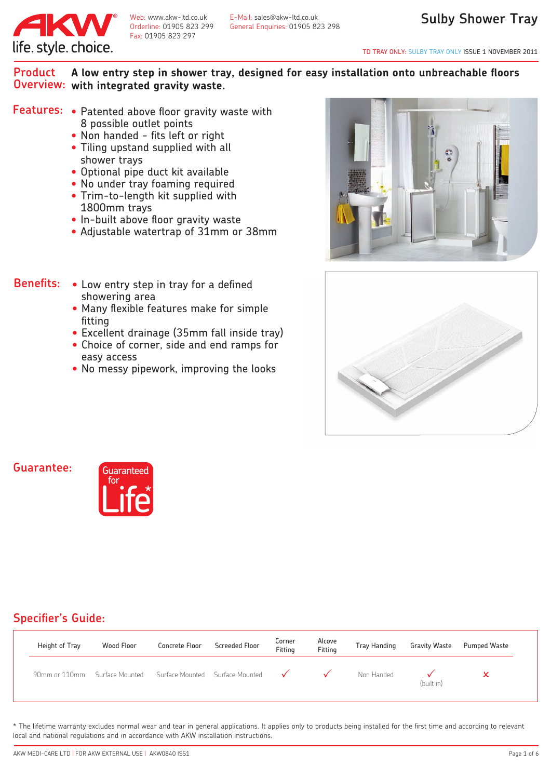

Web: www.akw-ltd.co.uk E-Mail: sales@akw-ltd.co.uk<br>Orderline: 01905 823 299 General Enguiries: 01905 82 General Enquiries: 01905 823 298

TD TRAY ONLY: SULBY TRAY ONLY ISSUE 1 NOVEMBER 2011

#### **A low entry step in shower tray, designed for easy installation onto unbreachable floors with integrated gravity waste. Overview: Product**

- Features: Patented above floor gravity waste with 8 possible outlet points
	- Non handed fits left or right
	- Tiling upstand supplied with all shower trays
	- Optional pipe duct kit available
	- No under tray foaming required
	- • Trim-to-length kit supplied with 1800mm trays
	- In-built above floor gravity waste
	- • Adjustable watertrap of 31mm or 38mm
- Low entry step in tray for a defined showering area **Benefits:**
	- Many flexible features make for simple fitting
	- Excellent drainage (35mm fall inside tray)
	- Choice of corner, side and end ramps for easy access
	- No messy pipework, improving the looks





#### **Guarantee:**



#### **Specifier's Guide:**

| Height of Tray | Wood Floor      | Concrete Floor | Screeded Floor                               | Corner<br>Fitting | Alcove<br>Fitting | <b>Tray Handing</b> | <b>Gravity Waste</b> | <b>Pumped Waste</b> |
|----------------|-----------------|----------------|----------------------------------------------|-------------------|-------------------|---------------------|----------------------|---------------------|
| 90mm or 110mm  | Surface Mounted |                | Surface Mounted Surface Mounted $\checkmark$ |                   |                   | Non Handed          | (built in)           |                     |

\* The lifetime warranty excludes normal wear and tear in general applications. It applies only to products being installed for the first time and according to relevant local and national regulations and in accordance with AKW installation instructions.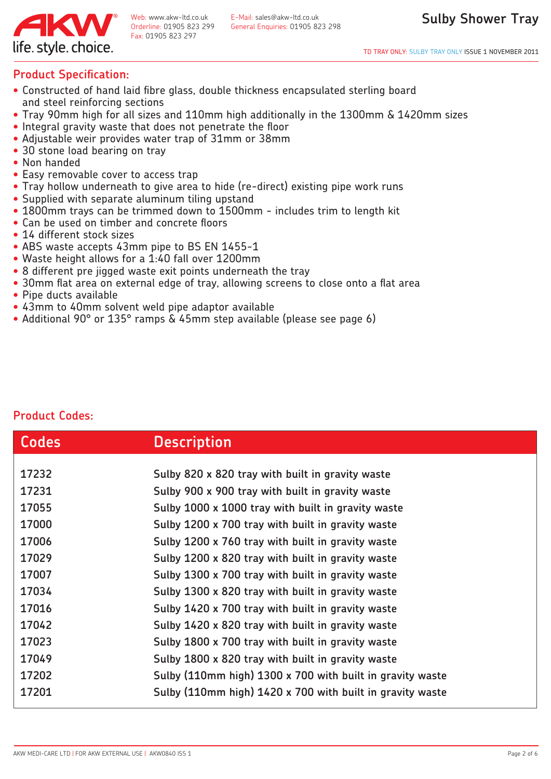

#### **Product Specification:**

- Constructed of hand laid fibre glass, double thickness encapsulated sterling board and steel reinforcing sections
- Tray 90mm high for all sizes and 110mm high additionally in the 1300mm & 1420mm sizes
- Integral gravity waste that does not penetrate the floor
- Adjustable weir provides water trap of 31mm or 38mm
- 30 stone load bearing on tray
- Non handed
- Easy removable cover to access trap
- Tray hollow underneath to give area to hide (re-direct) existing pipe work runs
- Supplied with separate aluminum tiling upstand
- 1800mm trays can be trimmed down to 1500mm includes trim to length kit
- Can be used on timber and concrete floors
- 14 different stock sizes
- ABS waste accepts 43mm pipe to BS EN 1455-1
- Waste height allows for a 1:40 fall over 1200mm
- 8 different pre jigged waste exit points underneath the tray
- 30mm flat area on external edge of tray, allowing screens to close onto a flat area
- Pipe ducts available
- 43mm to 40mm solvent weld pipe adaptor available
- Additional 90° or 135° ramps & 45mm step available (please see page 6)

| <b>Codes</b> | <b>Description</b>                                        |
|--------------|-----------------------------------------------------------|
|              |                                                           |
| 17232        | Sulby 820 x 820 tray with built in gravity waste          |
| 17231        | Sulby 900 x 900 tray with built in gravity waste          |
| 17055        | Sulby 1000 x 1000 tray with built in gravity waste        |
| 17000        | Sulby 1200 x 700 tray with built in gravity waste         |
| 17006        | Sulby 1200 x 760 tray with built in gravity waste         |
| 17029        | Sulby 1200 x 820 tray with built in gravity waste         |
| 17007        | Sulby 1300 x 700 tray with built in gravity waste         |
| 17034        | Sulby 1300 x 820 tray with built in gravity waste         |
| 17016        | Sulby 1420 x 700 tray with built in gravity waste         |
| 17042        | Sulby 1420 x 820 tray with built in gravity waste         |
| 17023        | Sulby 1800 x 700 tray with built in gravity waste         |
| 17049        | Sulby 1800 x 820 tray with built in gravity waste         |
| 17202        | Sulby (110mm high) 1300 x 700 with built in gravity waste |
| 17201        | Sulby (110mm high) 1420 x 700 with built in gravity waste |
|              |                                                           |

#### **Product Codes:**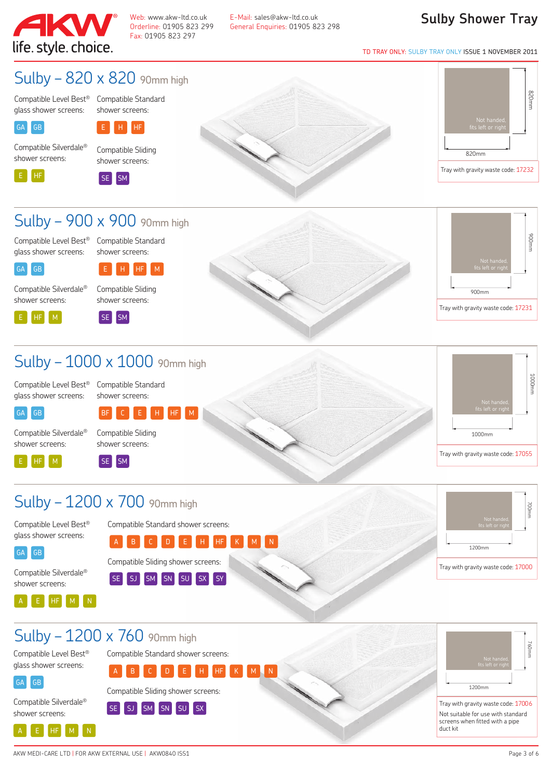

Web: www.akw-ltd.co.uk E-Mail: sales@akw-ltd.co.uk<br>Orderline: 01905 823 299 General Enguiries: 01905 82 Orderline: 01905 823 299 General Enquiries: 01905 823 298

#### **Sulby Shower Tray**

TD TRAY ONLY: SULBY TRAY ONLY ISSUE 1 NOVEMBER 2011

### Sulby – 820 x 820 90mm high

Compatible Level Best® Compatible Standard glass shower screens:

shower screens:

shower screens:



 $E$   $H$   $H$ 

Compatible Silverdale® Compatible Sliding



SE SM





### Sulby – 900 x 900 90mm high

Compatible Level Best® Compatible Standard glass shower screens:

shower screens:



E HF M

Compatible Silverdale®



shower screens:







## Sulby - 1000 x 1000 90mm high

Compatible Level Best® glass shower screens:

Compatible Standard shower screens:

BF C E H HF M



Compatible Silverdale® shower screens:

Compatible Level Best® glass shower screens:

Compatible Silverdale® shower screens:

A E HF M N

E HF M

GA GB







### Sulby - 1200 x 700 90mm high

SE SM





760mm 1200mm Sulby – 1200 x 760 90mm high Tray with gravity waste code: 17006 Not suitable for use with standard screens when fitted with a pipe duct kit Compatible Level Best® glass shower screens: GA GB Compatible Silverdale® shower screens: A E HF M N Compatible Standard shower screens: <sup>A</sup> <sup>B</sup> <sup>C</sup> <sup>D</sup> <sup>E</sup> <sup>H</sup> HF <sup>K</sup> <sup>M</sup> <sup>N</sup> Compatible Sliding shower screens: SE SJ SM SN SU SX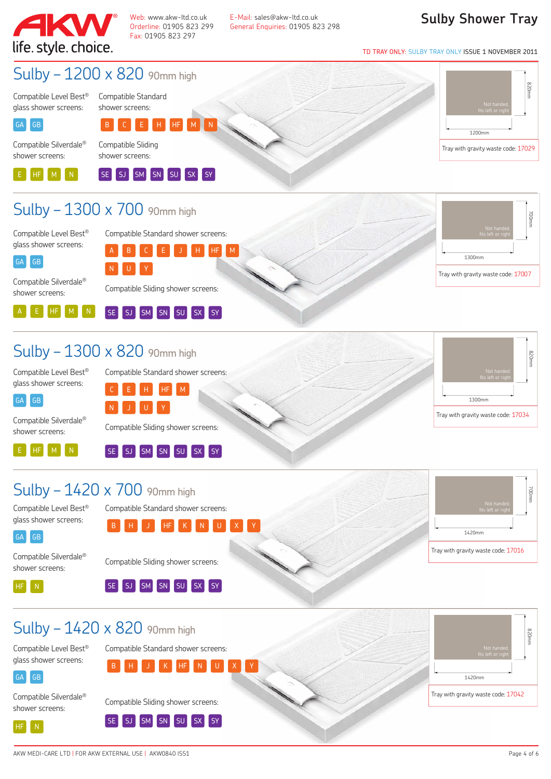

Web: www.akw-ltd.co.uk E-Mail: sales@akw-ltd.co.uk<br>Orderline: 01905 823 299 General Enguiries: 01905 82 Orderline: 01905 823 299 General Enquiries: 01905 823 298 **Sulby Shower Tray**

TD TRAY ONLY: SULBY TRAY ONLY ISSUE 1 NOVEMBER 2011



 $SE$   $SI$ 

SM SN SU SX SY

ŕ HF N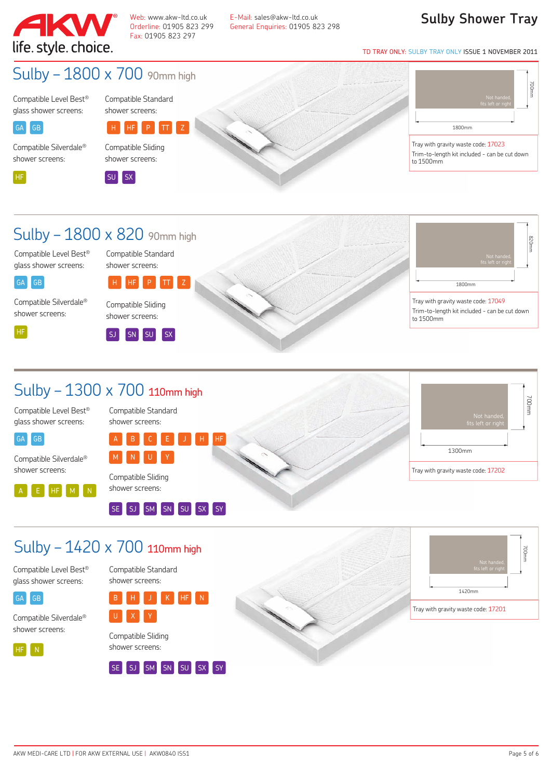

Web: www.akw-ltd.co.uk E-Mail: sales@akw-ltd.co.uk<br>Orderline: 01905 823 299 General Enguiries: 01905 82 Orderline: 01905 823 299 General Enquiries: 01905 823 298

#### **Sulby Shower Tray**

TD TRAY ONLY: SULBY TRAY ONLY ISSUE 1 NOVEMBER 2011

## Sulby - 1800 x 700 90mm high

Compatible Level Best® glass shower screens:

Compatible Standard shower screens:

Compatible Sliding shower screens:

# H HF P TT Z

Compatible Silverdale® shower screens:



GA GB

ŕ SU SX





Tray with gravity waste code: 17023 Trim-to-length kit included - can be cut down to 1500mm

### Sulby - 1800 x 820 90mm high

Compatible Level Best® glass shower screens:

Compatible Standard shower screens: H HF P

Compatible Silverdale® shower screens:

GA GB

ŕ HF

Compatible Sliding shower screens:







Trim-to-length kit included - can be cut down

## Sulby – 1300 x 700 110mm high

Compatible Level Best® glass shower screens:

Compatible Silverdale® shower screens:

E HF M M

GA**GB** 

j

Compatible Standard shower screens:



shower screens:

Compatible Standard shower screens:





## Sulby - 1420 x 700 110mm high

Compatible Level Best® glass shower screens:



Compatible Silverdale® shower screens:



Compatible Sliding shower screens:

U X Y



B H J K HF N



700mm